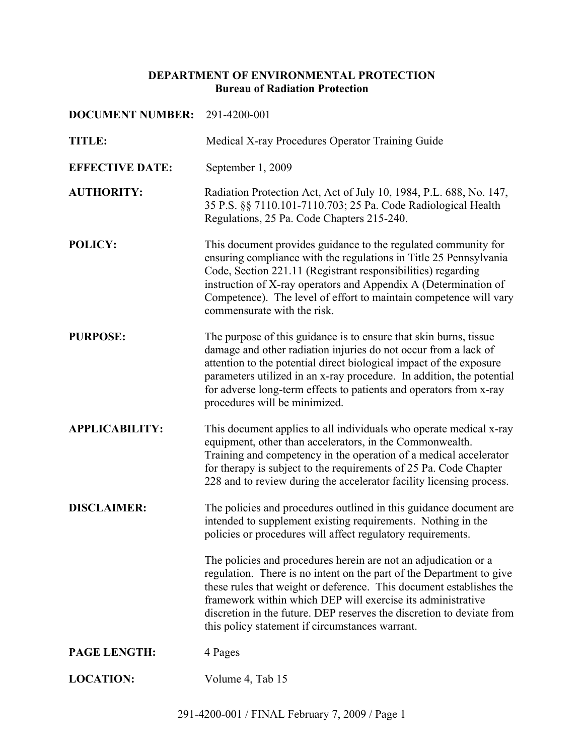# **DEPARTMENT OF ENVIRONMENTAL PROTECTION Bureau of Radiation Protection**

| <b>DOCUMENT NUMBER:</b> | 291-4200-001                                                                                                                                                                                                                                                                                                                                                                                              |
|-------------------------|-----------------------------------------------------------------------------------------------------------------------------------------------------------------------------------------------------------------------------------------------------------------------------------------------------------------------------------------------------------------------------------------------------------|
| TITLE:                  | Medical X-ray Procedures Operator Training Guide                                                                                                                                                                                                                                                                                                                                                          |
| <b>EFFECTIVE DATE:</b>  | September 1, 2009                                                                                                                                                                                                                                                                                                                                                                                         |
| <b>AUTHORITY:</b>       | Radiation Protection Act, Act of July 10, 1984, P.L. 688, No. 147,<br>35 P.S. §§ 7110.101-7110.703; 25 Pa. Code Radiological Health<br>Regulations, 25 Pa. Code Chapters 215-240.                                                                                                                                                                                                                         |
| <b>POLICY:</b>          | This document provides guidance to the regulated community for<br>ensuring compliance with the regulations in Title 25 Pennsylvania<br>Code, Section 221.11 (Registrant responsibilities) regarding<br>instruction of X-ray operators and Appendix A (Determination of<br>Competence). The level of effort to maintain competence will vary<br>commensurate with the risk.                                |
| <b>PURPOSE:</b>         | The purpose of this guidance is to ensure that skin burns, tissue<br>damage and other radiation injuries do not occur from a lack of<br>attention to the potential direct biological impact of the exposure<br>parameters utilized in an x-ray procedure. In addition, the potential<br>for adverse long-term effects to patients and operators from x-ray<br>procedures will be minimized.               |
| <b>APPLICABILITY:</b>   | This document applies to all individuals who operate medical x-ray<br>equipment, other than accelerators, in the Commonwealth.<br>Training and competency in the operation of a medical accelerator<br>for therapy is subject to the requirements of 25 Pa. Code Chapter<br>228 and to review during the accelerator facility licensing process.                                                          |
| <b>DISCLAIMER:</b>      | The policies and procedures outlined in this guidance document are<br>intended to supplement existing requirements. Nothing in the<br>policies or procedures will affect regulatory requirements.                                                                                                                                                                                                         |
|                         | The policies and procedures herein are not an adjudication or a<br>regulation. There is no intent on the part of the Department to give<br>these rules that weight or deference. This document establishes the<br>framework within which DEP will exercise its administrative<br>discretion in the future. DEP reserves the discretion to deviate from<br>this policy statement if circumstances warrant. |
| PAGE LENGTH:            | 4 Pages                                                                                                                                                                                                                                                                                                                                                                                                   |
| <b>LOCATION:</b>        | Volume 4, Tab 15                                                                                                                                                                                                                                                                                                                                                                                          |
|                         |                                                                                                                                                                                                                                                                                                                                                                                                           |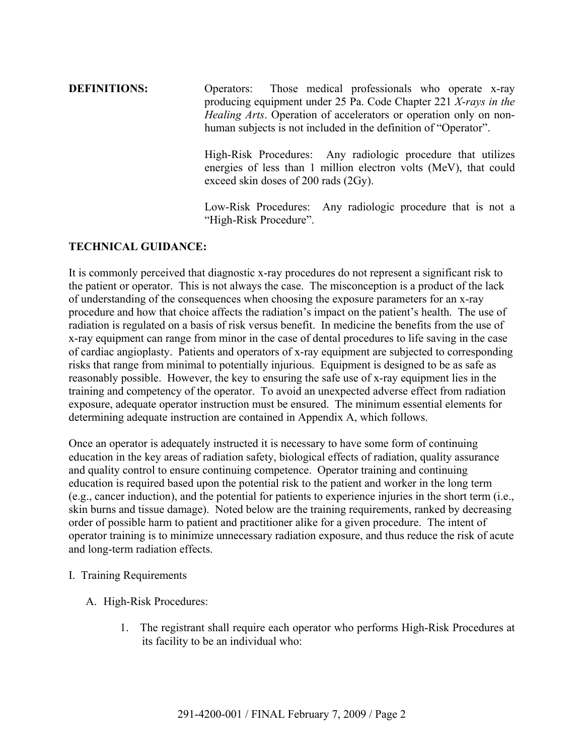**DEFINITIONS:** Operators: Those medical professionals who operate x-ray producing equipment under 25 Pa. Code Chapter 221 *X-rays in the Healing Arts*. Operation of accelerators or operation only on nonhuman subjects is not included in the definition of "Operator".

> High-Risk Procedures: Any radiologic procedure that utilizes energies of less than 1 million electron volts (MeV), that could exceed skin doses of 200 rads (2Gy).

> Low-Risk Procedures: Any radiologic procedure that is not a "High-Risk Procedure".

## **TECHNICAL GUIDANCE:**

It is commonly perceived that diagnostic x-ray procedures do not represent a significant risk to the patient or operator. This is not always the case. The misconception is a product of the lack of understanding of the consequences when choosing the exposure parameters for an x-ray procedure and how that choice affects the radiation's impact on the patient's health. The use of radiation is regulated on a basis of risk versus benefit. In medicine the benefits from the use of x-ray equipment can range from minor in the case of dental procedures to life saving in the case of cardiac angioplasty. Patients and operators of x-ray equipment are subjected to corresponding risks that range from minimal to potentially injurious. Equipment is designed to be as safe as reasonably possible. However, the key to ensuring the safe use of x-ray equipment lies in the training and competency of the operator. To avoid an unexpected adverse effect from radiation exposure, adequate operator instruction must be ensured. The minimum essential elements for determining adequate instruction are contained in Appendix A, which follows.

Once an operator is adequately instructed it is necessary to have some form of continuing education in the key areas of radiation safety, biological effects of radiation, quality assurance and quality control to ensure continuing competence. Operator training and continuing education is required based upon the potential risk to the patient and worker in the long term (e.g., cancer induction), and the potential for patients to experience injuries in the short term (i.e., skin burns and tissue damage). Noted below are the training requirements, ranked by decreasing order of possible harm to patient and practitioner alike for a given procedure. The intent of operator training is to minimize unnecessary radiation exposure, and thus reduce the risk of acute and long-term radiation effects.

#### I. Training Requirements

- A. High-Risk Procedures:
	- 1. The registrant shall require each operator who performs High-Risk Procedures at its facility to be an individual who: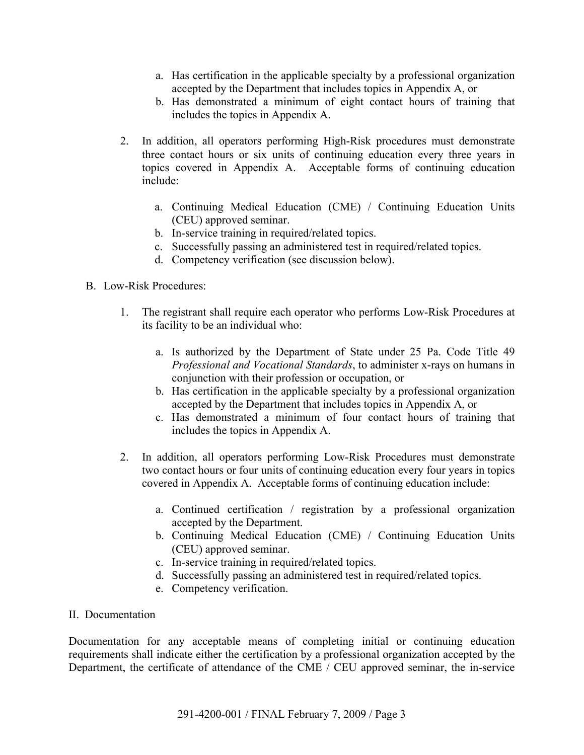- a. Has certification in the applicable specialty by a professional organization accepted by the Department that includes topics in Appendix A, or
- b. Has demonstrated a minimum of eight contact hours of training that includes the topics in Appendix A.
- 2. In addition, all operators performing High-Risk procedures must demonstrate three contact hours or six units of continuing education every three years in topics covered in Appendix A. Acceptable forms of continuing education include:
	- a. Continuing Medical Education (CME) / Continuing Education Units (CEU) approved seminar.
	- b. In-service training in required/related topics.
	- c. Successfully passing an administered test in required/related topics.
	- d. Competency verification (see discussion below).
- B. Low-Risk Procedures:
	- 1. The registrant shall require each operator who performs Low-Risk Procedures at its facility to be an individual who:
		- a. Is authorized by the Department of State under 25 Pa. Code Title 49 *Professional and Vocational Standards*, to administer x-rays on humans in conjunction with their profession or occupation, or
		- b. Has certification in the applicable specialty by a professional organization accepted by the Department that includes topics in Appendix A, or
		- c. Has demonstrated a minimum of four contact hours of training that includes the topics in Appendix A.
	- 2. In addition, all operators performing Low-Risk Procedures must demonstrate two contact hours or four units of continuing education every four years in topics covered in Appendix A. Acceptable forms of continuing education include:
		- a. Continued certification / registration by a professional organization accepted by the Department.
		- b. Continuing Medical Education (CME) / Continuing Education Units (CEU) approved seminar.
		- c. In-service training in required/related topics.
		- d. Successfully passing an administered test in required/related topics.
		- e. Competency verification.

#### II. Documentation

Documentation for any acceptable means of completing initial or continuing education requirements shall indicate either the certification by a professional organization accepted by the Department, the certificate of attendance of the CME / CEU approved seminar, the in-service